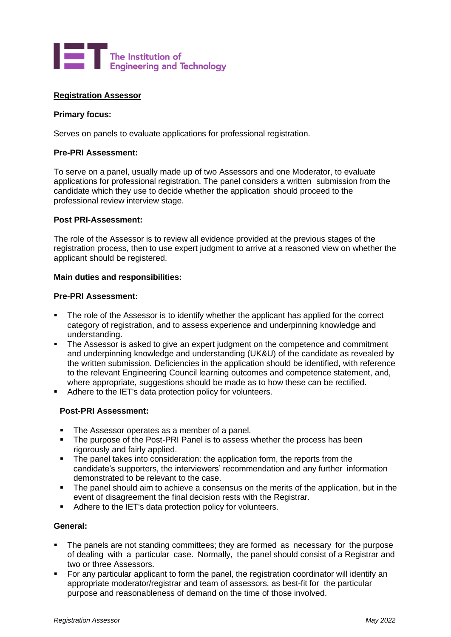

## **Registration Assessor**

### **Primary focus:**

Serves on panels to evaluate applications for professional registration.

### **Pre-PRI Assessment:**

To serve on a panel, usually made up of two Assessors and one Moderator, to evaluate applications for professional registration. The panel considers a written submission from the candidate which they use to decide whether the application should proceed to the professional review interview stage.

### **Post PRI-Assessment:**

The role of the Assessor is to review all evidence provided at the previous stages of the registration process, then to use expert judgment to arrive at a reasoned view on whether the applicant should be registered.

## **Main duties and responsibilities:**

### **Pre-PRI Assessment:**

- **•** The role of the Assessor is to identify whether the applicant has applied for the correct category of registration, and to assess experience and underpinning knowledge and understanding.
- **•** The Assessor is asked to give an expert judgment on the competence and commitment and underpinning knowledge and understanding (UK&U) of the candidate as revealed by the written submission. Deficiencies in the application should be identified, with reference to the relevant Engineering Council learning outcomes and competence statement, and, where appropriate, suggestions should be made as to how these can be rectified.
- Adhere to the IET's data protection policy for volunteers.

## **Post-PRI Assessment:**

- The Assessor operates as a member of a panel.
- The purpose of the Post-PRI Panel is to assess whether the process has been rigorously and fairly applied.
- **•** The panel takes into consideration: the application form, the reports from the candidate's supporters, the interviewers' recommendation and any further information demonstrated to be relevant to the case.
- The panel should aim to achieve a consensus on the merits of the application, but in the event of disagreement the final decision rests with the Registrar.
- Adhere to the IET's data protection policy for volunteers.

## **General:**

- The panels are not standing committees; they are formed as necessary for the purpose of dealing with a particular case. Normally, the panel should consist of a Registrar and two or three Assessors.
- For any particular applicant to form the panel, the registration coordinator will identify an appropriate moderator/registrar and team of assessors, as best-fit for the particular purpose and reasonableness of demand on the time of those involved.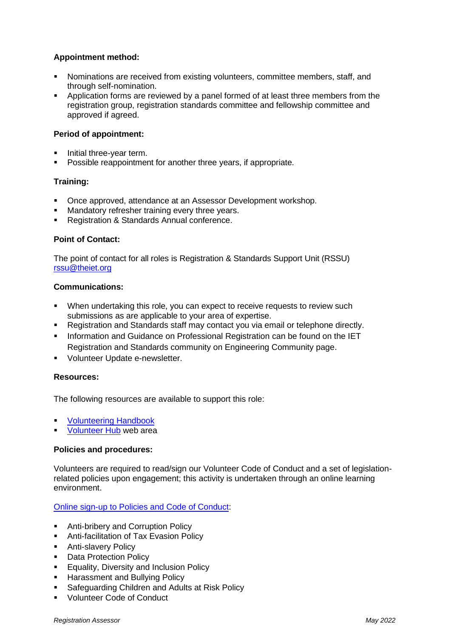# **Appointment method:**

- Nominations are received from existing volunteers, committee members, staff, and through self-nomination.
- Application forms are reviewed by a panel formed of at least three members from the registration group, registration standards committee and fellowship committee and approved if agreed.

## **Period of appointment:**

- Initial three-year term.
- Possible reappointment for another three years, if appropriate.

## **Training:**

- Once approved, attendance at an Assessor Development workshop.
- Mandatory refresher training every three years.
- Registration & Standards Annual conference.

## **Point of Contact:**

The point of contact for all roles is Registration & Standards Support Unit (RSSU) [rssu@theiet.org](mailto:rssu@theiet.org)

## **Communications:**

- When undertaking this role, you can expect to receive requests to review such submissions as are applicable to your area of expertise.
- Registration and Standards staff may contact you via email or telephone directly.
- **■** Information and Guidance on Professional Registration can be found on the IET Registration and Standards community on Engineering Community page.
- **■** Volunteer Update e-newsletter.

#### **Resources:**

The following resources are available to support this role:

- **[Volunteering Handbook](https://www.theiet.org/involved/volunteering-for-the-iet/volunteer-hub/resources/your-guide-to-volunteering-at-the-iet/)**
- [Volunteer Hub](https://www.theiet.org/involved/volunteering-for-the-iet/volunteer-hub) web area

#### **Policies and procedures:**

Volunteers are required to read/sign our Volunteer Code of Conduct and a set of legislationrelated policies upon engagement; this activity is undertaken through an online learning environment.

#### [Online sign-up to Policies and Code of Conduct:](https://www.theiet.org/involved/volunteering-for-the-iet/volunteer-hub/online-volunteer-policy-sign-up/)

- Anti-bribery and Corruption Policy
- **EXEC** Anti-facilitation of Tax Evasion Policy
- Anti-slavery Policy
- Data Protection Policy
- **Equality, Diversity and Inclusion Policy**
- **E** Harassment and Bullying Policy
- Safeguarding Children and Adults at Risk Policy
- Volunteer Code of Conduct